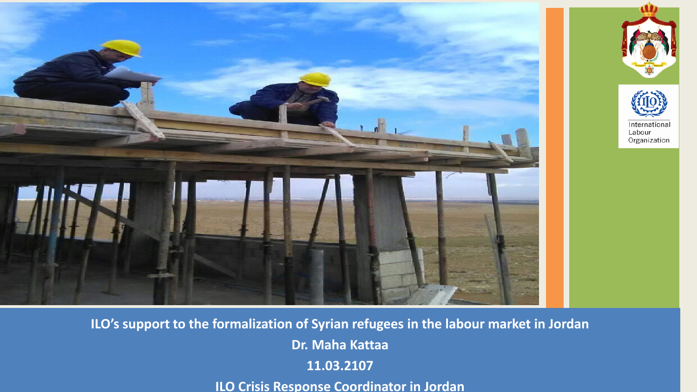





**ILO's support to the formalization of Syrian refugees in the labour market in Jordan Dr. Maha Kattaa 11.03.2107**

**ILO Crisis Response Coordinator in Jordan**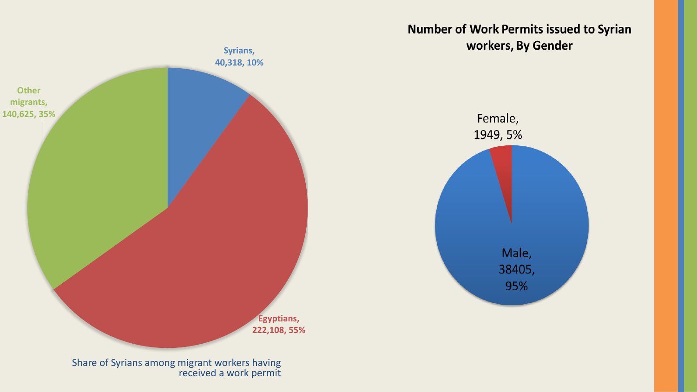

**Number of Work Permits issued to Syrian** workers, By Gender



Share of Syrians among migrant workers having received a work permit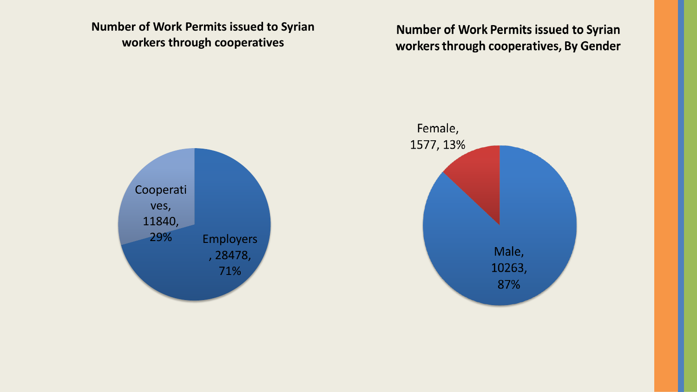**Number of Work Permits issued to Syrian workers through cooperatives**

**Number of Work Permits issued to Syrian** workers through cooperatives, By Gender



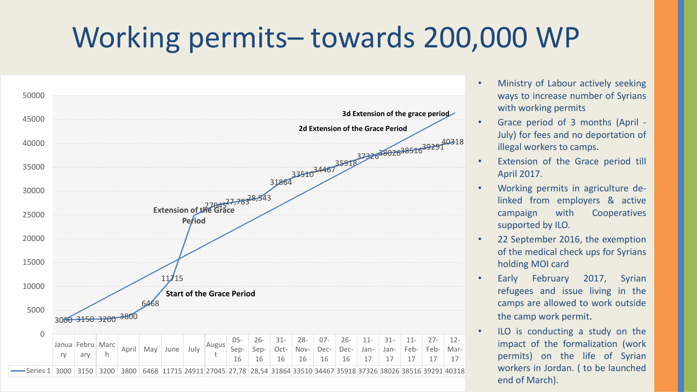## Working permits– towards 200,000 WP



- Ministry of Labour actively seeking ways to increase number of Syrians with working permits
- Grace period of 3 months (April July) for fees and no deportation of illegal workers to camps.
- Extension of the Grace period till April 2017.
- Working permits in agriculture delinked from employers & active campaign with Cooperatives supported by ILO.
- 22 September 2016, the exemption of the medical check ups for Syrians holding MOI card
- Early February 2017, Syrian refugees and issue living in the camps are allowed to work outside the camp work permit.
- ILO is conducting a study on the impact of the formalization (work permits) on the life of Syrian workers in Jordan. ( to be launched end of March).